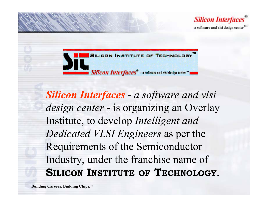

SILICON INSTITUTE OF TECHNOLOGY Silicon Interfaces<sup>®</sup> - a suftware and visi design center<sup>®</sup>

*Silicon Interfaces a software and vlsi design center -* is organizing an Overlay Institute, to develop *Intelligent and Dedicated VLSI Engineers* as per the Requirements of the Semiconductor Industry, under the franchise name of **SILICON INSTITUTE OF TECHNOLOGY**.

**Building Careers. Building Chips.**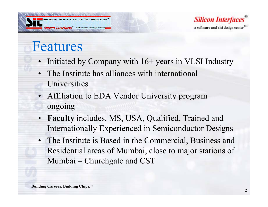

**Silicon Interfaces** a software and vlsi design center

### Features

- Initiated by Company with 16+ years in VLSI Industry
- The Institute has alliances with international Universities
- Affiliation to EDA Vendor University program ongoing
- **Faculty** includes, MS, USA, Qualified, Trained and Internationally Experienced in Semiconductor Designs
- The Institute is Based in the Commercial, Business and Residential areas of Mumbai, close to major stations of Mumbai – Churchgate and CST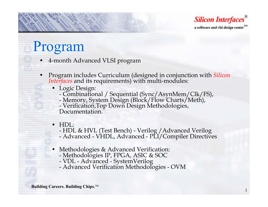

### Program

- 4-month Advanced VLSI program
- Program includes Curriculum (designed in conjunction with *Silicon Interfaces* and its requirements) with multi-modules:
	- Logic Design: -
		- Combinational / Sequential (Sync/AsynMem/Clk/FS),<br>- Memory, System Design (Block/Flow Charts/Meth)
		- Memory, System Design (Block/Flow Charts/Meth),<br>- Verification Ton Down Design Methodologies

- Verification,Top Down Design Methodologies,<br>Documentation.

- HDL:
	- -- HDL & HVL (Test Bench) - Verilog / Advanced Verilog<br>- Advanced - VHDL - Advanced - PLL/Compiler Directive
	- Advanced VHDL, Advanced PLI/Compiler Directives
- Methodologies & Advanced Verification:
	- -Methodologies IP, FPGA, ASIC & SOC
	- -VDL - Advanced - SystemVerilog
	- -Advanced Verification Methodologies - OVM

**Building Careers. Building Chips.**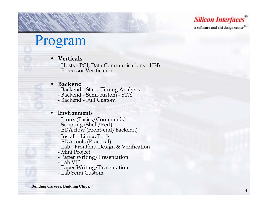**Silicon Interfaces®** a software and vlsi design center<sup>1M</sup>

## Program

- **Verticals**
	- Hosts PCI, Data Communications USB
	- Processor Verification

### •**Backend**

- Backend Static Timing Analysis
- Backend Semi-custom STA
- Backend Full Custom

### •**Environments**

- Linux (Basics/Commands)
- 
- Scripting (Shell/Perl),<br>- EDA flow (Front-end/Backend)
- Install Linux, Tools.
- 
- EDA tools (Practical) Lab Frontend Design & Verification
- Mini Project<br>- Paper Writin
- Paper Writing/Presentation
- Lab VIP
- Paper Writing/Presentation
- Lab Semi Custom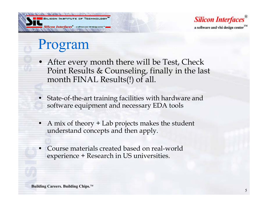



### Program

- After every month there will be Test, Check Point Results & Counseling, finally in the last month FINAL Results(!) of all.
- State-of-the-art training facilities with hardware and software equipment and necessary EDA tools
- • A mix of theory + Lab projects makes the student understand concepts and then apply.
- • Course materials created based on real-world experience + Research in US universities.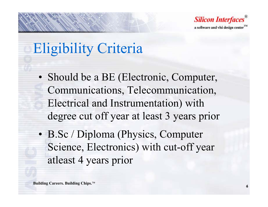

# Eligibility Criteria

- Should be a BE (Electronic, Computer, Communications, Telecommunication, Electrical and Instrumentation) with degree cut off year at least 3 years prior
- B.Sc / Diploma (Physics, Computer Science, Electronics) with cut-off year atleast 4 years prior